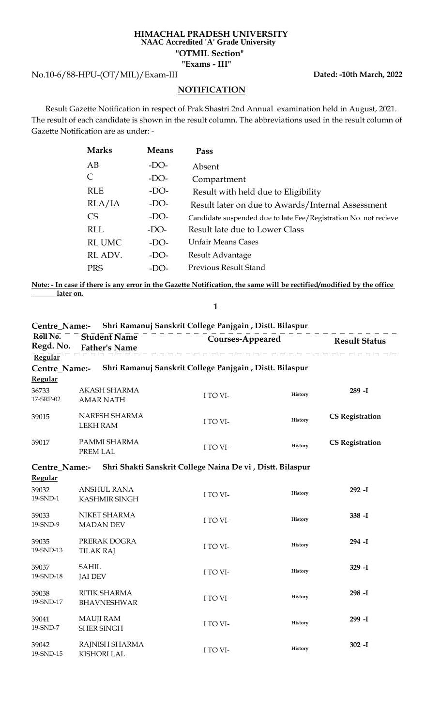## **HIMACHAL PRADESH UNIVERSITY "OTMIL Section" NAAC Accredited 'A' Grade University**

**"Exams - III"**

No.10-6/88-HPU-(OT/MIL)/Exam-III

**Dated: -10th March, 2022**

## **NOTIFICATION**

 Result Gazette Notification in respect of Prak Shastri 2nd Annual examination held in August, 2021. The result of each candidate is shown in the result column. The abbreviations used in the result column of Gazette Notification are as under: -

| <b>Marks</b>  | <b>Means</b> | Pass                                                             |
|---------------|--------------|------------------------------------------------------------------|
| AB            | $-DO-$       | Absent                                                           |
| C             | $-DO-$       | Compartment                                                      |
| <b>RLE</b>    | $-DO-$       | Result with held due to Eligibility                              |
| RLA/IA        | $-DO-$       | Result later on due to Awards/Internal Assessment                |
| <b>CS</b>     | $-DO-$       | Candidate suspended due to late Fee/Registration No. not recieve |
| <b>RLL</b>    | $-DO-$       | Result late due to Lower Class                                   |
| <b>RL UMC</b> | $-DO-$       | <b>Unfair Means Cases</b>                                        |
| RL ADV.       | $-DO-$       | Result Advantage                                                 |
| <b>PRS</b>    | $-DO$ -      | <b>Previous Result Stand</b>                                     |

**Note: - In case if there is any error in the Gazette Notification, the same will be rectified/modified by the office later on.**

**1**

|                          |                                            | Centre_Name:- Shri Ramanuj Sanskrit College Panjgain, Distt. Bilaspur |                |                                |
|--------------------------|--------------------------------------------|-----------------------------------------------------------------------|----------------|--------------------------------|
| Roll No.<br>Regd. No.    | Student Name<br><b>Father's Name</b>       |                                                                       |                | Courses-Appeared Result Status |
| Regular                  |                                            |                                                                       |                |                                |
| Centre_Name:-            |                                            | Shri Ramanuj Sanskrit College Panjgain, Distt. Bilaspur               |                |                                |
| <b>Regular</b>           |                                            |                                                                       |                |                                |
| 36733<br>17-SRP-02       | AKASH SHARMA<br><b>AMAR NATH</b>           | I TO VI-                                                              | History        | $289 - I$                      |
| 39015                    | NARESH SHARMA<br><b>LEKH RAM</b>           | I TO VI-                                                              | History        | <b>CS Registration</b>         |
| 39017                    | PAMMI SHARMA<br>PREM LAL                   | I TO VI-                                                              | History        | <b>CS Registration</b>         |
| Centre Name:-<br>Regular |                                            | Shri Shakti Sanskrit College Naina De vi , Distt. Bilaspur            |                |                                |
| 39032<br>19-SND-1        | <b>ANSHUL RANA</b><br><b>KASHMIR SINGH</b> | I TO VI-                                                              | History        | $292 - I$                      |
| 39033<br>19-SND-9        | NIKET SHARMA<br><b>MADAN DEV</b>           | I TO VI-                                                              | History        | $338 - I$                      |
| 39035<br>19-SND-13       | PRERAK DOGRA<br><b>TILAK RAJ</b>           | I TO VI-                                                              | History        | $294 - I$                      |
| 39037<br>19-SND-18       | <b>SAHIL</b><br><b>JAI DEV</b>             | I TO VI-                                                              | History        | $329 - I$                      |
| 39038<br>19-SND-17       | <b>RITIK SHARMA</b><br><b>BHAVNESHWAR</b>  | I TO VI-                                                              | History        | $298 - I$                      |
| 39041<br>19-SND-7        | <b>MAUJI RAM</b><br><b>SHER SINGH</b>      | I TO VI-                                                              | <b>History</b> | 299 - I                        |
| 39042<br>19-SND-15       | RAJNISH SHARMA<br><b>KISHORI LAL</b>       | I TO VI-                                                              | History        | $302 - I$                      |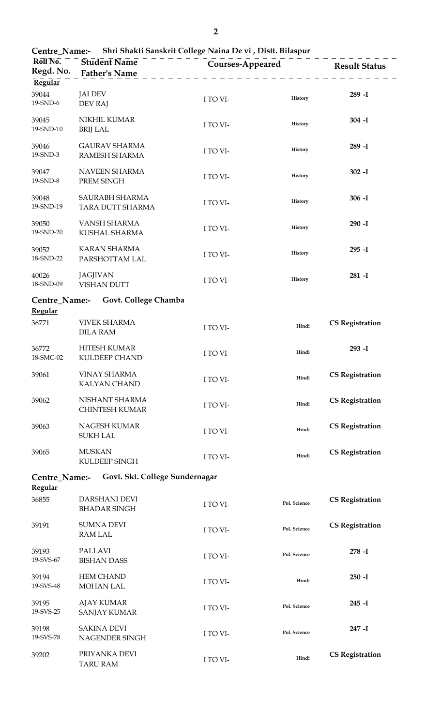| Centre_Name:- Shri Shakti Sanskrit College Naina De vi , Distt. Bilaspur |                                             |          |                         |                        |  |  |
|--------------------------------------------------------------------------|---------------------------------------------|----------|-------------------------|------------------------|--|--|
| Roll No.<br>Regd. No.                                                    | <b>Student Name</b><br><b>Father's Name</b> |          | <b>Courses-Appeared</b> | <b>Result Status</b>   |  |  |
| Regular                                                                  |                                             |          |                         |                        |  |  |
| 39044<br>19-SND-6                                                        | <b>JAI DEV</b><br>DEV RAJ                   | I TO VI- | History                 | $289 - I$              |  |  |
| 39045<br>19-SND-10                                                       | NIKHIL KUMAR<br><b>BRIJ LAL</b>             | I TO VI- | History                 | $304 - I$              |  |  |
| 39046<br>19-SND-3                                                        | <b>GAURAV SHARMA</b><br>RAMESH SHARMA       | I TO VI- | History                 | $289 - I$              |  |  |
| 39047<br>19-SND-8                                                        | NAVEEN SHARMA<br>PREM SINGH                 | I TO VI- | History                 | $302 - I$              |  |  |
| 39048<br>19-SND-19                                                       | SAURABH SHARMA<br>TARA DUTT SHARMA          | I TO VI- | History                 | $306 - I$              |  |  |
| 39050<br>19-SND-20                                                       | VANSH SHARMA<br>KUSHAL SHARMA               | I TO VI- | History                 | $290 - I$              |  |  |
| 39052<br>18-SND-22                                                       | <b>KARAN SHARMA</b><br>PARSHOTTAM LAL       | I TO VI- | History                 | $295 - I$              |  |  |
| 40026<br>18-SND-09                                                       | <b>JAGJIVAN</b><br><b>VISHAN DUTT</b>       | I TO VI- | History                 | $281 - I$              |  |  |
| Centre_Name:-                                                            | Govt. College Chamba                        |          |                         |                        |  |  |
| Regular                                                                  |                                             |          |                         |                        |  |  |
| 36771                                                                    | <b>VIVEK SHARMA</b><br><b>DILA RAM</b>      | I TO VI- | Hindi                   | <b>CS Registration</b> |  |  |
| 36772<br>18-SMC-02                                                       | <b>HITESH KUMAR</b><br><b>KULDEEP CHAND</b> | I TO VI- | Hindi                   | 293 - I                |  |  |
| 39061                                                                    | <b>VINAY SHARMA</b><br><b>KALYAN CHAND</b>  | I TO VI- | Hindi                   | <b>CS Registration</b> |  |  |
| 39062                                                                    | NISHANT SHARMA<br><b>CHINTESH KUMAR</b>     | I TO VI- | Hindi                   | <b>CS Registration</b> |  |  |
| 39063                                                                    | NAGESH KUMAR<br><b>SUKH LAL</b>             | I TO VI- | Hindi                   | <b>CS Registration</b> |  |  |
| 39065                                                                    | <b>MUSKAN</b><br>KULDEEP SINGH              | I TO VI- | Hindi                   | <b>CS Registration</b> |  |  |
| Centre_Name:-<br><b>Regular</b>                                          | Govt. Skt. College Sundernagar              |          |                         |                        |  |  |
| 36855                                                                    | DARSHANI DEVI<br><b>BHADAR SINGH</b>        | I TO VI- | Pol. Science            | <b>CS Registration</b> |  |  |
| 39191                                                                    | <b>SUMNA DEVI</b><br><b>RAM LAL</b>         | I TO VI- | Pol. Science            | <b>CS Registration</b> |  |  |
| 39193<br>19-SVS-67                                                       | <b>PALLAVI</b><br><b>BISHAN DASS</b>        | I TO VI- | Pol. Science            | $278 - I$              |  |  |
| 39194<br>19-SVS-48                                                       | <b>HEM CHAND</b><br><b>MOHAN LAL</b>        | I TO VI- | Hindi                   | $250 - I$              |  |  |
| 39195<br>19-SVS-25                                                       | <b>AJAY KUMAR</b><br><b>SANJAY KUMAR</b>    | I TO VI- | Pol. Science            | $245 - I$              |  |  |
| 39198<br>19-SVS-78                                                       | <b>SAKINA DEVI</b><br>NAGENDER SINGH        | I TO VI- | Pol. Science            | $247 - I$              |  |  |
| 39202                                                                    | PRIYANKA DEVI<br><b>TARU RAM</b>            | I TO VI- | Hindi                   | <b>CS Registration</b> |  |  |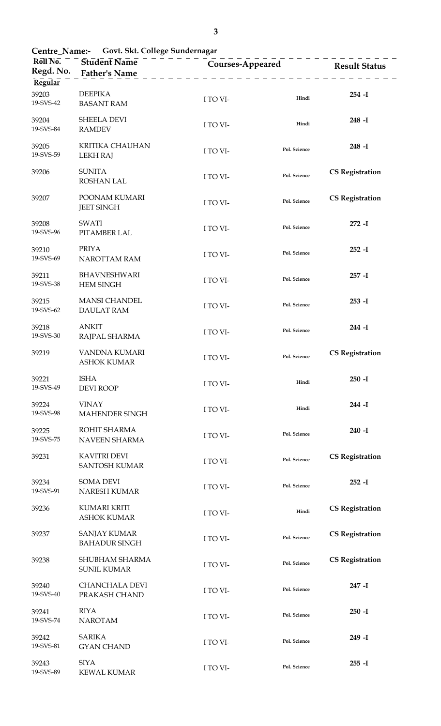| Govt. Skt. College Sundernagar<br><b>Centre_Name:-</b> |                                             |                                                          |              |                        |  |
|--------------------------------------------------------|---------------------------------------------|----------------------------------------------------------|--------------|------------------------|--|
| $R\overline{o}$ ll $\overline{No}$ .<br>Regd. No.      | Student Name<br><b>Father's Name</b>        | <b>Courses-Appeared</b><br><u> - - - - - - - - - - -</u> |              | <b>Result Status</b>   |  |
| Regular                                                |                                             |                                                          |              |                        |  |
| 39203<br>19-SVS-42                                     | <b>DEEPIKA</b><br><b>BASANT RAM</b>         | I TO VI-                                                 | Hindi        | $254 - I$              |  |
| 39204<br>19-SVS-84                                     | <b>SHEELA DEVI</b><br><b>RAMDEV</b>         | I TO VI-                                                 | Hindi        | $248 - I$              |  |
| 39205<br>19-SVS-59                                     | <b>KRITIKA CHAUHAN</b><br><b>LEKH RAJ</b>   | I TO VI-                                                 | Pol. Science | $248 - I$              |  |
| 39206                                                  | <b>SUNITA</b><br><b>ROSHAN LAL</b>          | I TO VI-                                                 | Pol. Science | <b>CS Registration</b> |  |
| 39207                                                  | POONAM KUMARI<br><b>JEET SINGH</b>          | I TO VI-                                                 | Pol. Science | <b>CS Registration</b> |  |
| 39208<br>19-SVS-96                                     | <b>SWATI</b><br>PITAMBER LAL                | I TO VI-                                                 | Pol. Science | $272 - I$              |  |
| 39210<br>19-SVS-69                                     | <b>PRIYA</b><br>NAROTTAM RAM                | I TO VI-                                                 | Pol. Science | $252 - I$              |  |
| 39211<br>19-SVS-38                                     | <b>BHAVNESHWARI</b><br><b>HEM SINGH</b>     | I TO VI-                                                 | Pol. Science | $257 - I$              |  |
| 39215<br>19-SVS-62                                     | <b>MANSI CHANDEL</b><br><b>DAULAT RAM</b>   | I TO VI-                                                 | Pol. Science | $253 - I$              |  |
| 39218<br>19-SVS-30                                     | <b>ANKIT</b><br>RAJPAL SHARMA               | I TO VI-                                                 | Pol. Science | $244 - I$              |  |
| 39219                                                  | VANDNA KUMARI<br><b>ASHOK KUMAR</b>         | I TO VI-                                                 | Pol. Science | <b>CS Registration</b> |  |
| 39221<br>19-SVS-49                                     | <b>ISHA</b><br><b>DEVI ROOP</b>             | I TO VI-                                                 | Hindi        | $250 - I$              |  |
| 39224<br>19-SVS-98                                     | <b>VINAY</b><br>MAHENDER SINGH              | I TO VI-                                                 | Hindi        | $244 - I$              |  |
| 39225<br>19-SVS-75                                     | ROHIT SHARMA<br><b>NAVEEN SHARMA</b>        | I TO VI-                                                 | Pol. Science | $240 - I$              |  |
| 39231                                                  | <b>KAVITRI DEVI</b><br><b>SANTOSH KUMAR</b> | I TO VI-                                                 | Pol. Science | <b>CS Registration</b> |  |
| 39234<br>19-SVS-91                                     | <b>SOMA DEVI</b><br>NARESH KUMAR            | I TO VI-                                                 | Pol. Science | $252 - I$              |  |
| 39236                                                  | <b>KUMARI KRITI</b><br><b>ASHOK KUMAR</b>   | I TO VI-                                                 | Hindi        | <b>CS Registration</b> |  |
| 39237                                                  | <b>SANJAY KUMAR</b><br><b>BAHADUR SINGH</b> | I TO VI-                                                 | Pol. Science | <b>CS Registration</b> |  |
| 39238                                                  | SHUBHAM SHARMA<br><b>SUNIL KUMAR</b>        | I TO VI-                                                 | Pol. Science | <b>CS Registration</b> |  |
| 39240<br>19-SVS-40                                     | <b>CHANCHALA DEVI</b><br>PRAKASH CHAND      | I TO VI-                                                 | Pol. Science | $247 - I$              |  |
| 39241<br>19-SVS-74                                     | <b>RIYA</b><br><b>NAROTAM</b>               | I TO VI-                                                 | Pol. Science | $250 - I$              |  |
| 39242<br>19-SVS-81                                     | <b>SARIKA</b><br><b>GYAN CHAND</b>          | I TO VI-                                                 | Pol. Science | $249 - I$              |  |
| 39243<br>10_SV/S_80                                    | <b>SIYA</b><br>VEMAL VIIMAD                 | I TO VI-                                                 | Pol. Science | $255 - I$              |  |

19-SVS-89 KEWAL KUMAR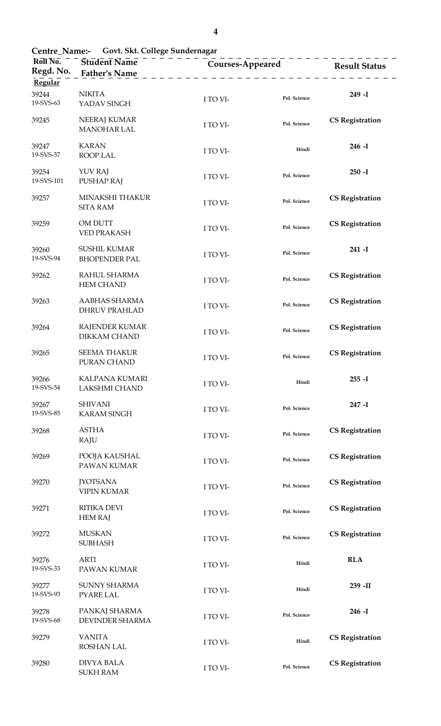| Govt. Skt. College Sundernagar<br>Centre Name:-   |                                               |          |                         |                        |  |
|---------------------------------------------------|-----------------------------------------------|----------|-------------------------|------------------------|--|
| $R\overline{o}$ ll $\overline{No}$ .<br>Regd. No. | <b>Student Name</b><br><b>Father's Name</b>   |          | <b>Courses-Appeared</b> |                        |  |
| Regular                                           |                                               |          |                         |                        |  |
| 39244<br>19-SVS-63                                | <b>NIKITA</b><br>YADAV SINGH                  | I TO VI- | Pol. Science            | $249 - I$              |  |
| 39245                                             | NEERAJ KUMAR<br><b>MANOHAR LAL</b>            | I TO VI- | Pol. Science            | <b>CS Registration</b> |  |
| 39247<br>19-SVS-57                                | <b>KARAN</b><br><b>ROOP LAL</b>               | I TO VI- | Hindi                   | $246 - I$              |  |
| 39254<br>19-SVS-101                               | YUV RAJ<br><b>PUSHAP RAJ</b>                  | I TO VI- | Pol. Science            | $250 - I$              |  |
| 39257                                             | MINAKSHI THAKUR<br><b>SITA RAM</b>            | I TO VI- | Pol. Science            | <b>CS Registration</b> |  |
| 39259                                             | OM DUTT<br><b>VED PRAKASH</b>                 | I TO VI- | Pol. Science            | <b>CS Registration</b> |  |
| 39260<br>19-SVS-94                                | <b>SUSHIL KUMAR</b><br><b>BHOPENDER PAL</b>   | I TO VI- | Pol. Science            | $241 - I$              |  |
| 39262                                             | RAHUL SHARMA<br><b>HEM CHAND</b>              | I TO VI- | Pol. Science            | <b>CS Registration</b> |  |
| 39263                                             | AABHAS SHARMA<br><b>DHRUV PRAHLAD</b>         | I TO VI- | Pol. Science            | <b>CS Registration</b> |  |
| 39264                                             | RAJENDER KUMAR<br><b>DIKKAM CHAND</b>         | I TO VI- | Pol. Science            | <b>CS Registration</b> |  |
| 39265                                             | <b>SEEMA THAKUR</b><br>PURAN CHAND            | I TO VI- | Pol. Science            | <b>CS Registration</b> |  |
| 39266<br>19-SVS-54                                | <b>KALPANA KUMARI</b><br><b>LAKSHMI CHAND</b> | I TO VI- | Hindi                   | $255 - I$              |  |
| 39267<br>19-SVS-85                                | <b>SHIVANI</b><br><b>KARAM SINGH</b>          | I TO VI- | Pol. Science            | 247 - I                |  |
| 39268                                             | <b>ASTHA</b><br>RAJU                          | I TO VI- | Pol. Science            | <b>CS Registration</b> |  |
| 39269                                             | POOJA KAUSHAL<br>PAWAN KUMAR                  | I TO VI- | Pol. Science            | <b>CS Registration</b> |  |
| 39270                                             | <b>JYOTSANA</b><br><b>VIPIN KUMAR</b>         | I TO VI- | Pol. Science            | <b>CS Registration</b> |  |
| 39271                                             | <b>RITIKA DEVI</b><br><b>HEM RAJ</b>          | I TO VI- | Pol. Science            | <b>CS Registration</b> |  |
| 39272                                             | <b>MUSKAN</b><br><b>SUBHASH</b>               | I TO VI- | Pol. Science            | <b>CS Registration</b> |  |
| 39276<br>19-SVS-33                                | <b>ARTI</b><br>PAWAN KUMAR                    | I TO VI- | Hindi                   | <b>RLA</b>             |  |
| 39277<br>19-SVS-93                                | <b>SUNNY SHARMA</b><br><b>PYARE LAL</b>       | I TO VI- | Hindi                   | 239 - II               |  |
| 39278<br>19-SVS-68                                | PANKAJ SHARMA<br>DEVINDER SHARMA              | I TO VI- | Pol. Science            | $246 - I$              |  |
| 39279                                             | <b>VANITA</b><br><b>ROSHAN LAL</b>            | I TO VI- | Hindi                   | <b>CS Registration</b> |  |
| 39280                                             | <b>DIVYA BALA</b><br><b>SUKH RAM</b>          | I TO VI- | Pol. Science            | <b>CS Registration</b> |  |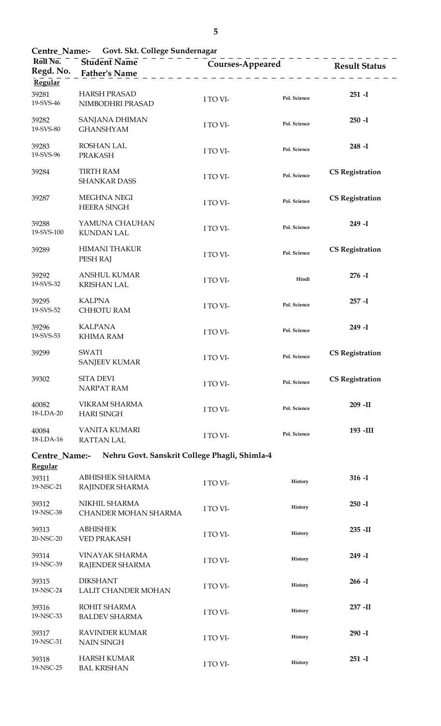| Roll No.<br>Regd. No.<br>Regular     | Student Name <sup>-</sup><br><b>Father's Name</b> |          | - - - - - - - - - - - - - - - - -<br><b>Courses-Appeared</b> | <b>Result Status</b>   |  |
|--------------------------------------|---------------------------------------------------|----------|--------------------------------------------------------------|------------------------|--|
| 39281<br>19-SVS-46                   | <b>HARSH PRASAD</b><br>NIMBODHRI PRASAD           | I TO VI- | Pol. Science                                                 | $251 - I$              |  |
| 39282<br>19-SVS-80                   | SANJANA DHIMAN<br><b>GHANSHYAM</b>                | I TO VI- | Pol. Science                                                 | $250 - I$              |  |
| 39283<br>19-SVS-96                   | <b>ROSHAN LAL</b><br><b>PRAKASH</b>               | I TO VI- | Pol. Science                                                 | $248 - I$              |  |
| 39284                                | <b>TIRTH RAM</b><br><b>SHANKAR DASS</b>           | I TO VI- | Pol. Science                                                 | <b>CS Registration</b> |  |
| 39287                                | <b>MEGHNA NEGI</b><br><b>HEERA SINGH</b>          | I TO VI- | Pol. Science                                                 | <b>CS Registration</b> |  |
| 39288<br>19-SVS-100                  | YAMUNA CHAUHAN<br><b>KUNDAN LAL</b>               | I TO VI- | Pol. Science                                                 | 249 - I                |  |
| 39289                                | <b>HIMANI THAKUR</b><br>PESH RAJ                  | I TO VI- | Pol. Science                                                 | <b>CS Registration</b> |  |
| 39292<br>19-SVS-32                   | <b>ANSHUL KUMAR</b><br><b>KRISHAN LAL</b>         | I TO VI- | Hindi                                                        | $276 - I$              |  |
| 39295<br>19-SVS-52                   | <b>KALPNA</b><br>CHHOTU RAM                       | I TO VI- | Pol. Science                                                 | $257 - I$              |  |
| 39296<br>19-SVS-53                   | <b>KALPANA</b><br><b>KHIMA RAM</b>                | I TO VI- | Pol. Science                                                 | 249 - I                |  |
| 39299                                | SWATI<br><b>SANJEEV KUMAR</b>                     | I TO VI- | Pol. Science                                                 | <b>CS Registration</b> |  |
| 39302                                | SITA DEVI<br><b>NARPAT RAM</b>                    | I TO VI- | Pol. Science                                                 | <b>CS Registration</b> |  |
| 40082<br>18-LDA-20                   | VIKRAM SHARMA<br><b>HARI SINGH</b>                | I TO VI- | Pol. Science                                                 | 209 -II                |  |
| 40084<br>18-LDA-16                   | VANITA KUMARI<br><b>RATTAN LAL</b>                | I TO VI- | Pol. Science                                                 | 193 - III              |  |
| Centre_Name:-                        | Nehru Govt. Sanskrit College Phagli, Shimla-4     |          |                                                              |                        |  |
| <b>Regular</b><br>39311<br>19-NSC-21 | ABHISHEK SHARMA<br>RAJINDER SHARMA                | I TO VI- | History                                                      | $316 - I$              |  |
| 39312<br>19-NSC-38                   | NIKHIL SHARMA<br>CHANDER MOHAN SHARMA             | I TO VI- | History                                                      | $250 - I$              |  |
| 39313<br>20-NSC-20                   | <b>ABHISHEK</b><br><b>VED PRAKASH</b>             | I TO VI- | History                                                      | $235 - II$             |  |
| 39314<br>19-NSC-39                   | VINAYAK SHARMA<br>RAJENDER SHARMA                 | I TO VI- | History                                                      | 249 - I                |  |
| 39315<br>19-NSC-24                   | <b>DIKSHANT</b><br><b>LALIT CHANDER MOHAN</b>     | I TO VI- | History                                                      | $266 - I$              |  |
| 39316<br>19-NSC-33                   | ROHIT SHARMA<br><b>BALDEV SHARMA</b>              | I TO VI- | History                                                      | 237 - II               |  |
| 39317<br>19-NSC-31                   | RAVINDER KUMAR<br><b>NAIN SINGH</b>               | I TO VI- | History                                                      | $290 - I$              |  |
| 39318<br>19-NSC-25                   | <b>HARSH KUMAR</b><br><b>BAL KRISHAN</b>          | I TO VI- | History                                                      | $251 - I$              |  |

**Centre\_Name:- Govt. Skt. College Sundernagar**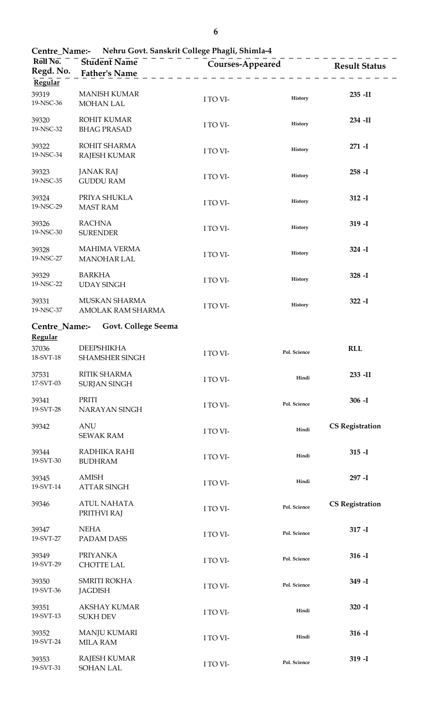| Centre_Name:- Nehru Govt. Sanskrit College Phagli, Shimla-4 |                                             |          |                         |                        |  |
|-------------------------------------------------------------|---------------------------------------------|----------|-------------------------|------------------------|--|
| Roll No.<br>Regd. No.<br>Regular                            | <b>Student Name</b><br><b>Father's Name</b> |          | <b>Courses-Appeared</b> | <b>Result Status</b>   |  |
| 39319<br>19-NSC-36                                          | <b>MANISH KUMAR</b><br><b>MOHAN LAL</b>     | I TO VI- | History                 | 235 - II               |  |
| 39320<br>19-NSC-32                                          | ROHIT KUMAR<br><b>BHAG PRASAD</b>           | I TO VI- | History                 | 234 -II                |  |
| 39322<br>19-NSC-34                                          | ROHIT SHARMA<br><b>RAJESH KUMAR</b>         | I TO VI- | History                 | $271 - I$              |  |
| 39323<br>19-NSC-35                                          | <b>JANAK RAJ</b><br><b>GUDDU RAM</b>        | I TO VI- | History                 | $258 - I$              |  |
| 39324<br>19-NSC-29                                          | PRIYA SHUKLA<br><b>MAST RAM</b>             | I TO VI- | History                 | $312 - I$              |  |
| 39326<br>19-NSC-30                                          | <b>RACHNA</b><br><b>SURENDER</b>            | I TO VI- | History                 | $319 - I$              |  |
| 39328<br>19-NSC-27                                          | <b>MAHIMA VERMA</b><br><b>MANOHAR LAL</b>   | I TO VI- | History                 | $324 - I$              |  |
| 39329<br>19-NSC-22                                          | <b>BARKHA</b><br><b>UDAY SINGH</b>          | I TO VI- | History                 | $328 - I$              |  |
| 39331<br>19-NSC-37                                          | MUSKAN SHARMA<br>AMOLAK RAM SHARMA          | I TO VI- | History                 | $322 - I$              |  |
| Centre_Name:-<br>Regular                                    | Govt. College Seema                         |          |                         |                        |  |
| 37036<br>18-SVT-18                                          | <b>DEEPSHIKHA</b><br><b>SHAMSHER SINGH</b>  | I TO VI- | Pol. Science            | <b>RLL</b>             |  |
| 37531<br>17-SVT-03                                          | <b>RITIK SHARMA</b><br><b>SURJAN SINGH</b>  | I TO VI- | Hindi                   | 233 - II               |  |
| 39341<br>19-SVT-28                                          | PRITI<br>NARAYAN SINGH                      | I TO VI- | Pol. Science            | $306 - I$              |  |
| 39342                                                       | <b>ANU</b><br><b>SEWAK RAM</b>              | I TO VI- | Hindi                   | <b>CS Registration</b> |  |
| 39344<br>19-SVT-30                                          | RADHIKA RAHI<br><b>BUDHRAM</b>              | I TO VI- | Hindi                   | $315 - I$              |  |
| 39345<br>19-SVT-14                                          | <b>AMISH</b><br><b>ATTAR SINGH</b>          | I TO VI- | Hindi                   | 297 - I                |  |
| 39346                                                       | <b>ATUL NAHATA</b><br>PRITHVI RAJ           | I TO VI- | Pol. Science            | <b>CS Registration</b> |  |
| 39347<br>19-SVT-27                                          | <b>NEHA</b><br>PADAM DASS                   | I TO VI- | Pol. Science            | $317 - I$              |  |
| 39349<br>19-SVT-29                                          | <b>PRIYANKA</b><br><b>CHOTTE LAL</b>        | I TO VI- | Pol. Science            | $316 - I$              |  |
| 39350<br>19-SVT-36                                          | <b>SMRITI ROKHA</b><br><b>JAGDISH</b>       | I TO VI- | Pol. Science            | 349 - I                |  |
| 39351<br>19-SVT-13                                          | <b>AKSHAY KUMAR</b><br><b>SUKH DEV</b>      | I TO VI- | Hindi                   | $320 - I$              |  |
| 39352<br>19-SVT-24                                          | <b>MANJU KUMARI</b><br><b>MILA RAM</b>      | I TO VI- | Hindi                   | $316 - I$              |  |
| 39353<br>19-SVT-31                                          | <b>RAJESH KUMAR</b><br><b>SOHAN LAL</b>     | I TO VI- | Pol. Science            | $319 - I$              |  |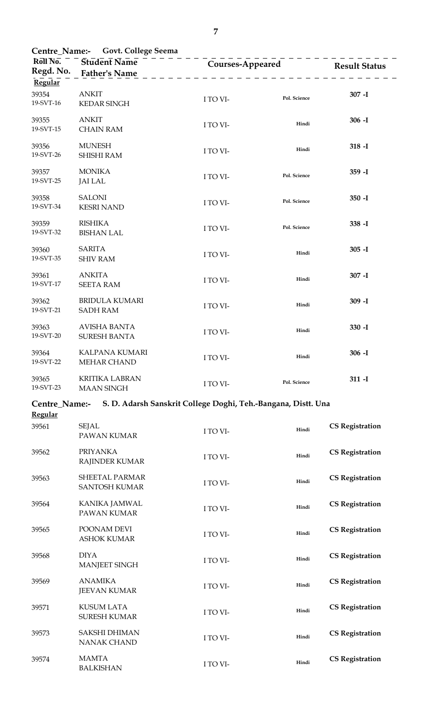| Roll No.<br>Regd. No.<br>Regular | Centre_Name:- Govt. College Seema<br>Student Name<br><b>Father's Name</b> | Courses-Appeared                                              |              | <b>Result Status</b>   |
|----------------------------------|---------------------------------------------------------------------------|---------------------------------------------------------------|--------------|------------------------|
| 39354<br>19-SVT-16               | <b>ANKIT</b><br><b>KEDAR SINGH</b>                                        | I TO VI-                                                      | Pol. Science | $307 - I$              |
| 39355<br>19-SVT-15               | <b>ANKIT</b><br><b>CHAIN RAM</b>                                          | I TO VI-                                                      | Hindi        | $306 - I$              |
| 39356<br>19-SVT-26               | <b>MUNESH</b><br><b>SHISHI RAM</b>                                        | I TO VI-                                                      | Hindi        | $318 - I$              |
| 39357<br>19-SVT-25               | <b>MONIKA</b><br><b>JAI LAL</b>                                           | I TO VI-                                                      | Pol. Science | $359 - I$              |
| 39358<br>19-SVT-34               | <b>SALONI</b><br><b>KESRI NAND</b>                                        | I TO VI-                                                      | Pol. Science | $350 - I$              |
| 39359<br>19-SVT-32               | <b>RISHIKA</b><br><b>BISHAN LAL</b>                                       | I TO VI-                                                      | Pol. Science | $338 - I$              |
| 39360<br>19-SVT-35               | <b>SARITA</b><br><b>SHIV RAM</b>                                          | I TO VI-                                                      | Hindi        | $305 - I$              |
| 39361<br>19-SVT-17               | <b>ANKITA</b><br><b>SEETA RAM</b>                                         | I TO VI-                                                      | Hindi        | $307 - I$              |
| 39362<br>19-SVT-21               | <b>BRIDULA KUMARI</b><br><b>SADH RAM</b>                                  | I TO VI-                                                      | Hindi        | $309 - I$              |
| 39363<br>19-SVT-20               | <b>AVISHA BANTA</b><br><b>SURESH BANTA</b>                                | I TO VI-                                                      | Hindi        | $330 - I$              |
| 39364<br>19-SVT-22               | KALPANA KUMARI<br><b>MEHAR CHAND</b>                                      | I TO VI-                                                      | Hindi        | $306 - I$              |
| 39365<br>19-SVT-23               | <b>KRITIKA LABRAN</b><br><b>MAAN SINGH</b>                                | I TO VI-                                                      | Pol. Science | $311 - I$              |
| Centre_Name:-<br><b>Regular</b>  |                                                                           | S. D. Adarsh Sanskrit College Doghi, Teh.-Bangana, Distt. Una |              |                        |
| 39561                            | <b>SEJAL</b><br>PAWAN KUMAR                                               | I TO VI-                                                      | Hindi        | <b>CS Registration</b> |
| 39562                            | <b>PRIYANKA</b><br>RAJINDER KUMAR                                         | I TO VI-                                                      | Hindi        | <b>CS Registration</b> |
| 39563                            | SHEETAL PARMAR<br><b>SANTOSH KUMAR</b>                                    | I TO VI-                                                      | Hindi        | <b>CS Registration</b> |
| 39564                            | KANIKA JAMWAL<br>PAWAN KUMAR                                              | I TO VI-                                                      | Hindi        | <b>CS Registration</b> |
| 39565                            | POONAM DEVI<br><b>ASHOK KUMAR</b>                                         | I TO VI-                                                      | Hindi        | <b>CS Registration</b> |
| 39568                            | <b>DIYA</b><br><b>MANJEET SINGH</b>                                       | I TO VI-                                                      | Hindi        | <b>CS Registration</b> |
| 39569                            | <b>ANAMIKA</b><br><b>JEEVAN KUMAR</b>                                     | I TO VI-                                                      | Hindi        | <b>CS Registration</b> |
|                                  |                                                                           |                                                               |              |                        |

**CS Registration** I TO VI- **Hindi**

39574 MAMTA

BALKISHAN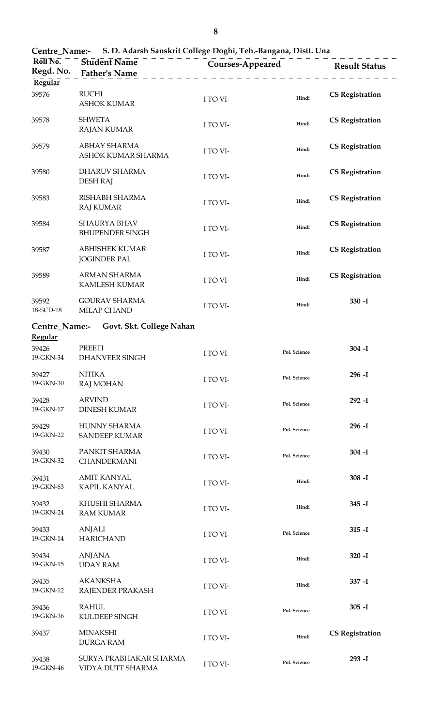| Centre_Name:- S. D. Adarsh Sanskrit College Doghi, Teh.-Bangana, Distt. Una |                                              |                                                          |              |                        |  |
|-----------------------------------------------------------------------------|----------------------------------------------|----------------------------------------------------------|--------------|------------------------|--|
| Roll No.<br>Regd. No.                                                       | Student Name<br><b>Father's Name</b>         | <b>Courses-Appeared</b><br><u> 2 2 2 2 2 2 2 2 2 2 2</u> |              | <b>Result Status</b>   |  |
| Regular<br>39576                                                            | <b>RUCHI</b><br><b>ASHOK KUMAR</b>           | I TO VI-                                                 | Hindi        | <b>CS Registration</b> |  |
| 39578                                                                       | <b>SHWETA</b><br><b>RAJAN KUMAR</b>          | I TO VI-                                                 | Hindi        | <b>CS Registration</b> |  |
| 39579                                                                       | ABHAY SHARMA<br>ASHOK KUMAR SHARMA           | I TO VI-                                                 | Hindi        | <b>CS Registration</b> |  |
| 39580                                                                       | DHARUV SHARMA<br><b>DESH RAJ</b>             | I TO VI-                                                 | Hindi        | <b>CS Registration</b> |  |
| 39583                                                                       | RISHABH SHARMA<br><b>RAJ KUMAR</b>           | I TO VI-                                                 | Hindi        | <b>CS Registration</b> |  |
| 39584                                                                       | SHAURYA BHAV<br><b>BHUPENDER SINGH</b>       | I TO VI-                                                 | Hindi        | <b>CS Registration</b> |  |
| 39587                                                                       | <b>ABHISHEK KUMAR</b><br><b>JOGINDER PAL</b> | I TO VI-                                                 | Hindi        | <b>CS Registration</b> |  |
| 39589                                                                       | ARMAN SHARMA<br>KAMLESH KUMAR                | I TO VI-                                                 | Hindi        | <b>CS Registration</b> |  |
| 39592<br>18-SCD-18                                                          | <b>GOURAV SHARMA</b><br>MILAP CHAND          | I TO VI-                                                 | Hindi        | $330 - I$              |  |
| Centre_Name:-<br>Regular                                                    | Govt. Skt. College Nahan                     |                                                          |              |                        |  |
| 39426<br>19-GKN-34                                                          | <b>PREETI</b><br><b>DHANVEER SINGH</b>       | I TO VI-                                                 | Pol. Science | $304 - I$              |  |
| 39427<br>19-GKN-30                                                          | <b>NITIKA</b><br><b>RAJ MOHAN</b>            | I TO VI-                                                 | Pol. Science | $296 - I$              |  |
| 39428<br>19-GKN-17                                                          | <b>ARVIND</b><br><b>DINESH KUMAR</b>         | I TO VI-                                                 | Pol. Science | $292 - I$              |  |
| 39429<br>19-GKN-22                                                          | HUNNY SHARMA<br><b>SANDEEP KUMAR</b>         | I TO VI-                                                 | Pol. Science | $296 - I$              |  |
| 39430<br>19-GKN-32                                                          | PANKIT SHARMA<br>CHANDERMANI                 | I TO VI-                                                 | Pol. Science | $304 - I$              |  |
| 39431<br>19-GKN-63                                                          | <b>AMIT KANYAL</b><br><b>KAPIL KANYAL</b>    | I TO VI-                                                 | Hindi        | $308 - I$              |  |
| 39432<br>19-GKN-24                                                          | KHUSHI SHARMA<br><b>RAM KUMAR</b>            | I TO VI-                                                 | Hindi        | $345 - I$              |  |
| 39433<br>19-GKN-14                                                          | <b>ANJALI</b><br><b>HARICHAND</b>            | I TO VI-                                                 | Pol. Science | $315 - I$              |  |
| 39434<br>19-GKN-15                                                          | <b>ANJANA</b><br><b>UDAY RAM</b>             | I TO VI-                                                 | Hindi        | $320 - I$              |  |
| 39435<br>19-GKN-12                                                          | <b>AKANKSHA</b><br>RAJENDER PRAKASH          | I TO VI-                                                 | Hindi        | $337 - I$              |  |
| 39436<br>19-GKN-36                                                          | <b>RAHUL</b><br>KULDEEP SINGH                | I TO VI-                                                 | Pol. Science | $305 - I$              |  |
| 39437                                                                       | <b>MINAKSHI</b><br><b>DURGA RAM</b>          | I TO VI-                                                 | Hindi        | <b>CS Registration</b> |  |
| 39438<br>19-GKN-46                                                          | SURYA PRABHAKAR SHARMA<br>VIDYA DUTT SHARMA  | I TO VI-                                                 | Pol. Science | $293 - I$              |  |

**8**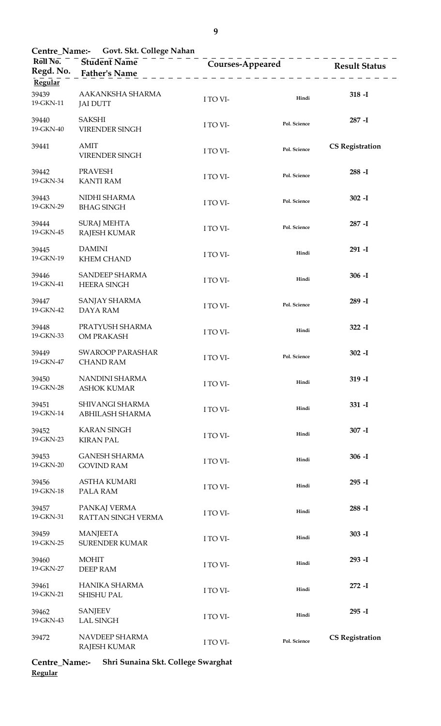**Centre\_Name:- Govt. Skt. College Nahan**

| Roll No.<br>Regd. No.         | - - - - - -<br><b>Student Name</b><br><b>Father's Name</b> | <b>Courses-Appeared</b> |              | <b>Result Status</b>   |
|-------------------------------|------------------------------------------------------------|-------------------------|--------------|------------------------|
| Regular<br>39439<br>19-GKN-11 | AAKANKSHA SHARMA<br><b>JAI DUTT</b>                        | I TO VI-                | Hindi        | $318 - I$              |
| 39440<br>19-GKN-40            | <b>SAKSHI</b><br>VIRENDER SINGH                            | I TO VI-                | Pol. Science | $287 - I$              |
| 39441                         | <b>AMIT</b><br>VIRENDER SINGH                              | I TO VI-                | Pol. Science | <b>CS Registration</b> |
| 39442<br>19-GKN-34            | <b>PRAVESH</b><br><b>KANTI RAM</b>                         | I TO VI-                | Pol. Science | $288 - I$              |
| 39443<br>19-GKN-29            | NIDHI SHARMA<br><b>BHAG SINGH</b>                          | I TO VI-                | Pol. Science | $302 - I$              |
| 39444<br>19-GKN-45            | <b>SURAJ MEHTA</b><br><b>RAJESH KUMAR</b>                  | I TO VI-                | Pol. Science | $287 - I$              |
| 39445<br>19-GKN-19            | <b>DAMINI</b><br><b>KHEM CHAND</b>                         | I TO VI-                | Hindi        | 291 - I                |
| 39446<br>19-GKN-41            | SANDEEP SHARMA<br><b>HEERA SINGH</b>                       | I TO VI-                | Hindi        | $306 - I$              |
| 39447<br>19-GKN-42            | SANJAY SHARMA<br><b>DAYA RAM</b>                           | I TO VI-                | Pol. Science | 289 - I                |
| 39448<br>19-GKN-33            | PRATYUSH SHARMA<br>OM PRAKASH                              | I TO VI-                | Hindi        | $322 - I$              |
| 39449<br>19-GKN-47            | <b>SWAROOP PARASHAR</b><br><b>CHAND RAM</b>                | I TO VI-                | Pol. Science | $302 - I$              |
| 39450<br>19-GKN-28            | NANDINI SHARMA<br><b>ASHOK KUMAR</b>                       | I TO VI-                | Hindi        | $319 - I$              |
| 39451<br>19-GKN-14            | SHIVANGI SHARMA<br>ABHILASH SHARMA                         | I TO VI-                | Hindi        | $331 - I$              |
| 39452<br>19-GKN-23            | <b>KARAN SINGH</b><br><b>KIRAN PAL</b>                     | I TO VI-                | Hindi        | $307 - I$              |
| 39453<br>19-GKN-20            | <b>GANESH SHARMA</b><br><b>GOVIND RAM</b>                  | I TO VI-                | Hindi        | $306 - I$              |
| 39456<br>19-GKN-18            | ASTHA KUMARI<br>PALA RAM                                   | I TO VI-                | Hindi        | $295 - I$              |
| 39457<br>19-GKN-31            | PANKAJ VERMA<br>RATTAN SINGH VERMA                         | I TO VI-                | Hindi        | $288 - I$              |
| 39459<br>19-GKN-25            | <b>MANJEETA</b><br><b>SURENDER KUMAR</b>                   | I TO VI-                | Hindi        | $303 - I$              |
| 39460<br>19-GKN-27            | <b>MOHIT</b><br><b>DEEP RAM</b>                            | I TO VI-                | Hindi        | 293 - I                |
| 39461<br>19-GKN-21            | HANIKA SHARMA<br><b>SHISHU PAL</b>                         | I TO VI-                | Hindi        | $272 - I$              |
| 39462<br>19-GKN-43            | <b>SANJEEV</b><br><b>LAL SINGH</b>                         | I TO VI-                | Hindi        | $295 - I$              |
| 39472                         | NAVDEEP SHARMA<br><b>RAJESH KUMAR</b>                      | I TO VI-                | Pol. Science | <b>CS Registration</b> |

**Centre\_Name:- Shri Sunaina Skt. College Swarghat Regular**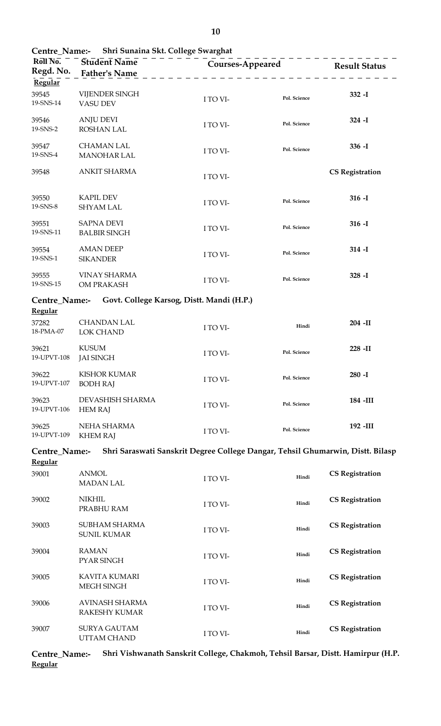|                               | Centre_Name:- Shri Sunaina Skt. College Swarghat |                                                                                |                                |                        |
|-------------------------------|--------------------------------------------------|--------------------------------------------------------------------------------|--------------------------------|------------------------|
| Roll No.<br>Regd. No.         | Student Name<br><b>Father's Name</b>             | _ _ _ _ _ _ _ _ _ _ _ _ _ _ _ _ _ _                                            | Courses-Appeared Result Status |                        |
| Regular<br>39545<br>19-SNS-14 | VIJENDER SINGH<br><b>VASU DEV</b>                | I TO VI-                                                                       | Pol. Science                   | $332 - I$              |
| 39546<br>19-SNS-2             | <b>ANJU DEVI</b><br><b>ROSHAN LAL</b>            | I TO VI-                                                                       | Pol. Science                   | $324 - I$              |
| 39547<br>19-SNS-4             | <b>CHAMAN LAL</b><br><b>MANOHAR LAL</b>          | I TO VI-                                                                       | Pol. Science                   | $336 - I$              |
| 39548                         | <b>ANKIT SHARMA</b>                              | I TO VI-                                                                       |                                | <b>CS Registration</b> |
| 39550<br>19-SNS-8             | <b>KAPIL DEV</b><br><b>SHYAM LAL</b>             | I TO VI-                                                                       | Pol. Science                   | $316 - I$              |
| 39551<br>19-SNS-11            | <b>SAPNA DEVI</b><br><b>BALBIR SINGH</b>         | I TO VI-                                                                       | Pol. Science                   | $316 - I$              |
| 39554<br>19-SNS-1             | <b>AMAN DEEP</b><br><b>SIKANDER</b>              | I TO VI-                                                                       | Pol. Science                   | $314 - I$              |
| 39555<br>19-SNS-15            | <b>VINAY SHARMA</b><br>OM PRAKASH                | I TO VI-                                                                       | Pol. Science                   | $328 - I$              |
| Centre_Name:-                 |                                                  | Govt. College Karsog, Distt. Mandi (H.P.)                                      |                                |                        |
| Regular<br>37282<br>18-PMA-07 | <b>CHANDAN LAL</b><br>LOK CHAND                  | I TO VI-                                                                       | Hindi                          | 204 - II               |
| 39621<br>19-UPVT-108          | <b>KUSUM</b><br><b>JAI SINGH</b>                 | I TO VI-                                                                       | Pol. Science                   | 228 - II               |
| 39622<br>19-UPVT-107          | <b>KISHOR KUMAR</b><br><b>BODH RAJ</b>           | I TO VI-                                                                       | Pol. Science                   | $280 - I$              |
| 39623<br>19-UPVT-106          | DEVASHISH SHARMA<br><b>HEM RAJ</b>               | I TO VI-                                                                       | Pol. Science                   | 184 -III               |
| 39625<br>19-UPVT-109          | NEHA SHARMA<br><b>KHEM RAJ</b>                   | I TO VI-                                                                       | Pol. Science                   | 192 -III               |
| Centre_Name:-                 |                                                  | Shri Saraswati Sanskrit Degree College Dangar, Tehsil Ghumarwin, Distt. Bilasp |                                |                        |
| <b>Regular</b><br>39001       | <b>ANMOL</b><br><b>MADAN LAL</b>                 | I TO VI-                                                                       | Hindi                          | <b>CS Registration</b> |
| 39002                         | <b>NIKHIL</b><br>PRABHU RAM                      | I TO VI-                                                                       | Hindi                          | <b>CS Registration</b> |
| 39003                         | SUBHAM SHARMA<br><b>SUNIL KUMAR</b>              | I TO VI-                                                                       | Hindi                          | <b>CS Registration</b> |
| 39004                         | <b>RAMAN</b><br>PYAR SINGH                       | I TO VI-                                                                       | Hindi                          | <b>CS Registration</b> |
| 39005                         | <b>KAVITA KUMARI</b><br>MEGH SINGH               | I TO VI-                                                                       | Hindi                          | <b>CS Registration</b> |
| 39006                         | <b>AVINASH SHARMA</b><br><b>RAKESHY KUMAR</b>    | I TO VI-                                                                       | Hindi                          | <b>CS Registration</b> |
| 39007                         | <b>SURYA GAUTAM</b><br>UTTAM CHAND               | I TO VI-                                                                       | Hindi                          | <b>CS Registration</b> |

**Centre\_Name:- Shri Vishwanath Sanskrit College, Chakmoh, Tehsil Barsar, Distt. Hamirpur (H.P. Regular**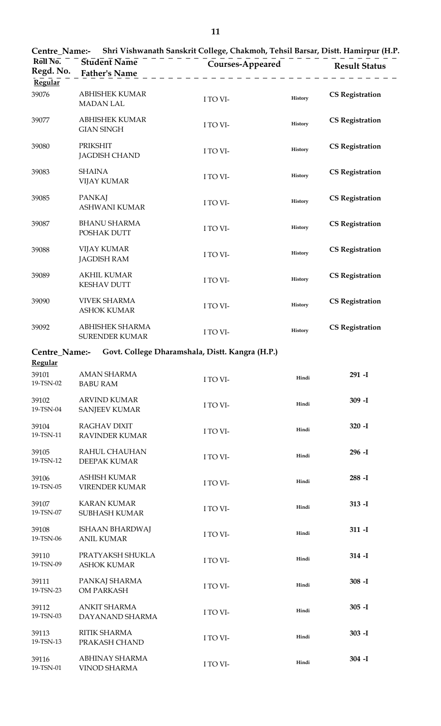| Shri Vishwanath Sanskrit College, Chakmoh, Tehsil Barsar, Distt. Hamirpur (H.P.<br><b>Centre_Name:-</b> |                                              |                                                 |         |                        |
|---------------------------------------------------------------------------------------------------------|----------------------------------------------|-------------------------------------------------|---------|------------------------|
| Roll No.<br>Regd. No.<br>Regular                                                                        | Student Name<br><b>Father's Name</b>         | <b>Courses-Appeared</b>                         |         | <b>Result Status</b>   |
| 39076                                                                                                   | <b>ABHISHEK KUMAR</b><br><b>MADAN LAL</b>    | I TO VI-                                        | History | <b>CS Registration</b> |
| 39077                                                                                                   | <b>ABHISHEK KUMAR</b><br><b>GIAN SINGH</b>   | I TO VI-                                        | History | <b>CS Registration</b> |
| 39080                                                                                                   | <b>PRIKSHIT</b><br><b>JAGDISH CHAND</b>      | I TO VI-                                        | History | <b>CS Registration</b> |
| 39083                                                                                                   | <b>SHAINA</b><br><b>VIJAY KUMAR</b>          | I TO VI-                                        | History | <b>CS Registration</b> |
| 39085                                                                                                   | <b>PANKAJ</b><br>ASHWANI KUMAR               | I TO VI-                                        | History | <b>CS Registration</b> |
| 39087                                                                                                   | <b>BHANU SHARMA</b><br>POSHAK DUTT           | I TO VI-                                        | History | <b>CS Registration</b> |
| 39088                                                                                                   | <b>VIJAY KUMAR</b><br><b>JAGDISH RAM</b>     | I TO VI-                                        | History | <b>CS Registration</b> |
| 39089                                                                                                   | <b>AKHIL KUMAR</b><br><b>KESHAV DUTT</b>     | I TO VI-                                        | History | <b>CS Registration</b> |
| 39090                                                                                                   | <b>VIVEK SHARMA</b><br><b>ASHOK KUMAR</b>    | I TO VI-                                        | History | <b>CS Registration</b> |
| 39092                                                                                                   | ABHISHEK SHARMA<br>SURENDER KUMAR            | I TO VI-                                        | History | <b>CS Registration</b> |
| Centre_Name:-                                                                                           |                                              | Govt. College Dharamshala, Distt. Kangra (H.P.) |         |                        |
| <b>Regular</b><br>39101<br>19-TSN-02                                                                    | <b>AMAN SHARMA</b><br><b>BABU RAM</b>        | I TO VI-                                        | Hindi   | 291 - I                |
| 39102<br>19-TSN-04                                                                                      | <b>ARVIND KUMAR</b><br><b>SANJEEV KUMAR</b>  | I TO VI-                                        | Hindi   | $309 - I$              |
| 39104<br>19-TSN-11                                                                                      | <b>RAGHAV DIXIT</b><br><b>RAVINDER KUMAR</b> | I TO VI-                                        | Hindi   | $320 - I$              |
| 39105<br>19-TSN-12                                                                                      | RAHUL CHAUHAN<br>DEEPAK KUMAR                | I TO VI-                                        | Hindi   | $296 - I$              |
| 39106<br>19-TSN-05                                                                                      | ASHISH KUMAR<br>VIRENDER KUMAR               | I TO VI-                                        | Hindi   | $288 - I$              |
| 39107<br>19-TSN-07                                                                                      | <b>KARAN KUMAR</b><br>SUBHASH KUMAR          | I TO VI-                                        | Hindi   | $313 - I$              |
| 39108<br>19-TSN-06                                                                                      | <b>ISHAAN BHARDWAJ</b><br><b>ANIL KUMAR</b>  | I TO VI-                                        | Hindi   | $311 - I$              |
| 39110<br>19-TSN-09                                                                                      | PRATYAKSH SHUKLA<br><b>ASHOK KUMAR</b>       | I TO VI-                                        | Hindi   | $314 - I$              |
| 39111<br>19-TSN-23                                                                                      | PANKAJ SHARMA<br>OM PARKASH                  | I TO VI-                                        | Hindi   | $308 - I$              |
| 39112<br>19-TSN-03                                                                                      | <b>ANKIT SHARMA</b><br>DAYANAND SHARMA       | I TO VI-                                        | Hindi   | $305 - I$              |
| 39113<br>19-TSN-13                                                                                      | RITIK SHARMA<br>PRAKASH CHAND                | I TO VI-                                        | Hindi   | $303 - I$              |
| 39116<br>19-TSN-01                                                                                      | ABHINAY SHARMA<br><b>VINOD SHARMA</b>        | I TO VI-                                        | Hindi   | $304 - I$              |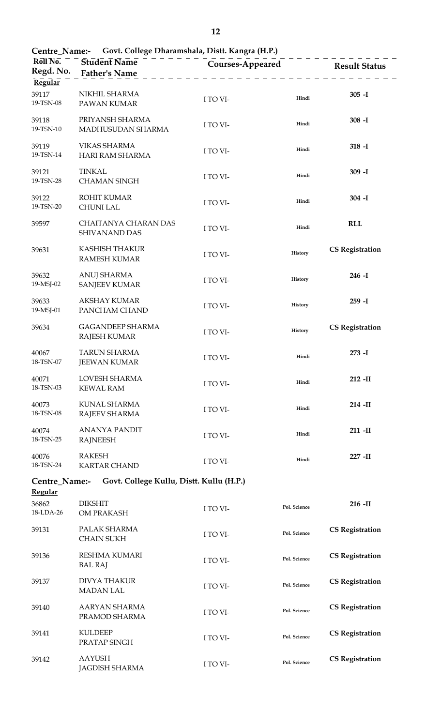|                                      | Centre_Name:- Govt. College Dharamshala, Distt. Kangra (H.P.) |                         |              |                        |
|--------------------------------------|---------------------------------------------------------------|-------------------------|--------------|------------------------|
| Roll No.<br>Regd. No.<br>Regular     | <b>Student Name</b><br><b>Father's Name</b>                   | <b>Courses-Appeared</b> |              | <b>Result Status</b>   |
| 39117<br>19-TSN-08                   | NIKHIL SHARMA<br>PAWAN KUMAR                                  | I TO VI-                | Hindi        | $305 - I$              |
| 39118<br>19-TSN-10                   | PRIYANSH SHARMA<br>MADHUSUDAN SHARMA                          | I TO VI-                | Hindi        | $308 - I$              |
| 39119<br>19-TSN-14                   | <b>VIKAS SHARMA</b><br>HARI RAM SHARMA                        | I TO VI-                | Hindi        | $318 - I$              |
| 39121<br>19-TSN-28                   | <b>TINKAL</b><br><b>CHAMAN SINGH</b>                          | I TO VI-                | Hindi        | $309 - I$              |
| 39122<br>19-TSN-20                   | <b>ROHIT KUMAR</b><br><b>CHUNI LAL</b>                        | I TO VI-                | Hindi        | $304 - I$              |
| 39597                                | CHAITANYA CHARAN DAS<br>SHIVANAND DAS                         | I TO VI-                | Hindi        | <b>RLL</b>             |
| 39631                                | <b>KASHISH THAKUR</b><br><b>RAMESH KUMAR</b>                  | I TO VI-                | History      | <b>CS Registration</b> |
| 39632<br>19-MSJ-02                   | <b>ANUJ SHARMA</b><br><b>SANJEEV KUMAR</b>                    | I TO VI-                | History      | $246 - I$              |
| 39633<br>19-MSJ-01                   | <b>AKSHAY KUMAR</b><br>PANCHAM CHAND                          | I TO VI-                | History      | $259 - I$              |
| 39634                                | <b>GAGANDEEP SHARMA</b><br><b>RAJESH KUMAR</b>                | I TO VI-                | History      | <b>CS Registration</b> |
| 40067<br>18-TSN-07                   | <b>TARUN SHARMA</b><br><b>JEEWAN KUMAR</b>                    | I TO VI-                | Hindi        | $273 - I$              |
| 40071<br>18-TSN-03                   | LOVESH SHARMA<br><b>KEWAL RAM</b>                             | I TO VI-                | Hindi        | $212$ -II              |
| 40073<br>18-TSN-08                   | KUNAL SHARMA<br><b>RAJEEV SHARMA</b>                          | I TO VI-                | Hindi        | $214$ -II              |
| 40074<br>18-TSN-25                   | <b>ANANYA PANDIT</b><br><b>RAJNEESH</b>                       | I TO VI-                | Hindi        | $211 - H$              |
| 40076<br>18-TSN-24                   | <b>RAKESH</b><br><b>KARTAR CHAND</b>                          | I TO VI-                | Hindi        | $227 - H$              |
| Centre_Name:-                        | Govt. College Kullu, Distt. Kullu (H.P.)                      |                         |              |                        |
| <b>Regular</b><br>36862<br>18-LDA-26 | <b>DIKSHIT</b><br>OM PRAKASH                                  | I TO VI-                | Pol. Science | $216$ -II              |
| 39131                                | PALAK SHARMA<br><b>CHAIN SUKH</b>                             | I TO VI-                | Pol. Science | <b>CS Registration</b> |
| 39136                                | <b>RESHMA KUMARI</b><br><b>BAL RAJ</b>                        | I TO VI-                | Pol. Science | <b>CS Registration</b> |
| 39137                                | <b>DIVYA THAKUR</b><br><b>MADAN LAL</b>                       | I TO VI-                | Pol. Science | <b>CS Registration</b> |
| 39140                                | AARYAN SHARMA<br>PRAMOD SHARMA                                | I TO VI-                | Pol. Science | <b>CS Registration</b> |
| 39141                                | <b>KULDEEP</b><br>PRATAP SINGH                                | I TO VI-                | Pol. Science | <b>CS Registration</b> |
| 39142                                | <b>AAYUSH</b><br><b>JAGDISH SHARMA</b>                        | I TO VI-                | Pol. Science | <b>CS Registration</b> |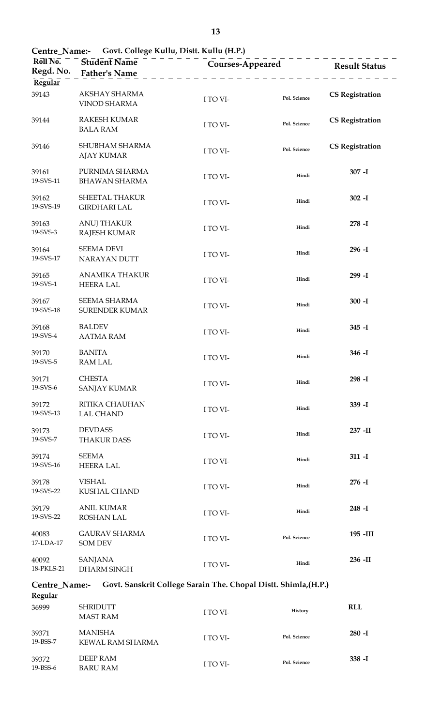| Roll No.<br>Regd. No.   | $\text{Cent}_1$ value. Sort college frame, Distribution (110)<br>Student Name<br><b>Father's Name</b> | Courses-Appeared                                                |              | <b>Result Status</b>   |
|-------------------------|-------------------------------------------------------------------------------------------------------|-----------------------------------------------------------------|--------------|------------------------|
| Regular                 |                                                                                                       |                                                                 |              |                        |
| 39143                   | AKSHAY SHARMA<br><b>VINOD SHARMA</b>                                                                  | I TO VI-                                                        | Pol. Science | <b>CS Registration</b> |
| 39144                   | <b>RAKESH KUMAR</b><br><b>BALA RAM</b>                                                                | I TO VI-                                                        | Pol. Science | <b>CS Registration</b> |
| 39146                   | SHUBHAM SHARMA<br><b>AJAY KUMAR</b>                                                                   | I TO VI-                                                        | Pol. Science | <b>CS Registration</b> |
| 39161<br>19-SVS-11      | PURNIMA SHARMA<br><b>BHAWAN SHARMA</b>                                                                | I TO VI-                                                        | Hindi        | $307 - I$              |
| 39162<br>19-SVS-19      | SHEETAL THAKUR<br><b>GIRDHARI LAL</b>                                                                 | I TO VI-                                                        | Hindi        | $302 - I$              |
| 39163<br>19-SVS-3       | <b>ANUJ THAKUR</b><br><b>RAJESH KUMAR</b>                                                             | I TO VI-                                                        | Hindi        | $278 - I$              |
| 39164<br>19-SVS-17      | <b>SEEMA DEVI</b><br><b>NARAYAN DUTT</b>                                                              | I TO VI-                                                        | Hindi        | $296 - I$              |
| 39165<br>19-SVS-1       | <b>ANAMIKA THAKUR</b><br><b>HEERA LAL</b>                                                             | I TO VI-                                                        | Hindi        | 299 - I                |
| 39167<br>19-SVS-18      | SEEMA SHARMA<br><b>SURENDER KUMAR</b>                                                                 | I TO VI-                                                        | Hindi        | $300 - I$              |
| 39168<br>19-SVS-4       | <b>BALDEV</b><br><b>AATMA RAM</b>                                                                     | I TO VI-                                                        | Hindi        | $345 - I$              |
| 39170<br>19-SVS-5       | <b>BANITA</b><br><b>RAM LAL</b>                                                                       | I TO VI-                                                        | Hindi        | $346 - I$              |
| 39171<br>19-SVS-6       | <b>CHESTA</b><br><b>SANJAY KUMAR</b>                                                                  | I TO VI-                                                        | Hindi        | 298 - I                |
| 39172<br>19-SVS-13      | RITIKA CHAUHAN<br><b>LAL CHAND</b>                                                                    | I TO VI-                                                        | Hindi        | 339 -I                 |
| 39173<br>19-SVS-7       | <b>DEVDASS</b><br><b>THAKUR DASS</b>                                                                  | I TO VI-                                                        | Hindi        | 237 - II               |
| 39174<br>19-SVS-16      | <b>SEEMA</b><br><b>HEERA LAL</b>                                                                      | I TO VI-                                                        | Hindi        | $311 - I$              |
| 39178<br>19-SVS-22      | <b>VISHAL</b><br>KUSHAL CHAND                                                                         | I TO VI-                                                        | Hindi        | $276 - I$              |
| 39179<br>19-SVS-22      | <b>ANIL KUMAR</b><br>ROSHAN LAL                                                                       | I TO VI-                                                        | Hindi        | $248 - I$              |
| 40083<br>17-LDA-17      | <b>GAURAV SHARMA</b><br><b>SOM DEV</b>                                                                | I TO VI-                                                        | Pol. Science | 195 - III              |
| 40092<br>18-PKLS-21     | <b>SANJANA</b><br><b>DHARM SINGH</b>                                                                  | I TO VI-                                                        | Hindi        | 236 -II                |
| Centre_Name:-           |                                                                                                       | Govt. Sanskrit College Sarain The. Chopal Distt. Shimla, (H.P.) |              |                        |
| <b>Regular</b><br>36999 | <b>SHRIDUTT</b><br><b>MAST RAM</b>                                                                    | I TO VI-                                                        | History      | <b>RLL</b>             |

**<sup>280</sup> -I** I TO VI- **Pol. Science**

**<sup>338</sup> -I** I TO VI- **Pol. Science**

**Centre\_Name:- Govt. College Kullu, Distt. Kullu (H.P.)**

39371 19-BSS-7

39372 19-BSS-6 MANISHA

DEEP RAM BARU RAM

KEWAL RAM SHARMA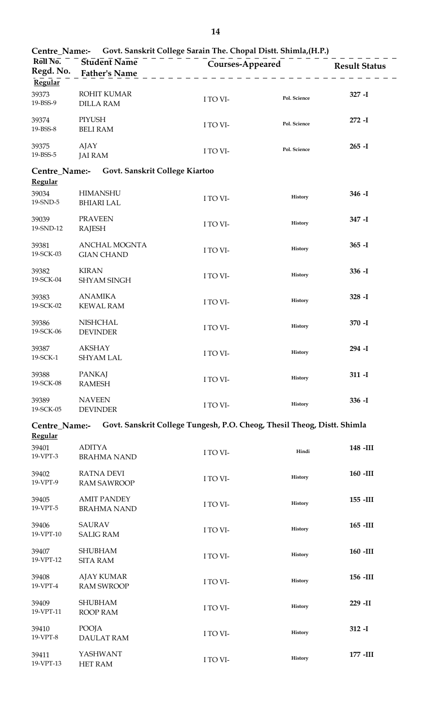| Centre_Name:-                   |                                          | Govt. Sanskrit College Sarain The. Chopal Distt. Shimla, (H.P.)         |              |                      |
|---------------------------------|------------------------------------------|-------------------------------------------------------------------------|--------------|----------------------|
| Roll No.<br>Regd. No.           | Student Name<br><b>Father's Name</b>     | Courses-Appeared                                                        |              | <b>Result Status</b> |
| Regular                         |                                          |                                                                         |              |                      |
| 39373<br>19-BSS-9               | ROHIT KUMAR<br><b>DILLA RAM</b>          | I TO VI-                                                                | Pol. Science | $327 - I$            |
| 39374<br>19-BSS-8               | PIYUSH<br><b>BELI RAM</b>                | I TO VI-                                                                | Pol. Science | $272 - I$            |
| 39375<br>19-BSS-5               | AJAY<br><b>JAI RAM</b>                   | I TO VI-                                                                | Pol. Science | $265 - I$            |
| Centre_Name:-<br><b>Regular</b> | Govt. Sanskrit College Kiartoo           |                                                                         |              |                      |
| 39034<br>19-SND-5               | <b>HIMANSHU</b><br><b>BHIARI LAL</b>     | I TO VI-                                                                | History      | $346 - I$            |
| 39039<br>19-SND-12              | <b>PRAVEEN</b><br><b>RAJESH</b>          | I TO VI-                                                                | History      | 347-I                |
| 39381<br>19-SCK-03              | ANCHAL MOGNTA<br><b>GIAN CHAND</b>       | I TO VI-                                                                | History      | $365 - I$            |
| 39382<br>19-SCK-04              | <b>KIRAN</b><br><b>SHYAM SINGH</b>       | I TO VI-                                                                | History      | $336 - I$            |
| 39383<br>19-SCK-02              | <b>ANAMIKA</b><br><b>KEWAL RAM</b>       | I TO VI-                                                                | History      | $328 - I$            |
| 39386<br>19-SCK-06              | <b>NISHCHAL</b><br><b>DEVINDER</b>       | I TO VI-                                                                | History      | 370 - I              |
| 39387<br>19-SCK-1               | <b>AKSHAY</b><br><b>SHYAM LAL</b>        | I TO VI-                                                                | History      | 294 - I              |
| 39388<br>19-SCK-08              | <b>PANKAJ</b><br><b>RAMESH</b>           | I TO VI-                                                                | History      | $311 - I$            |
| 39389<br>19-SCK-05              | <b>NAVEEN</b><br><b>DEVINDER</b>         | I TO VI-                                                                | History      | $336 - I$            |
| Centre_Name:-<br><b>Regular</b> |                                          | Govt. Sanskrit College Tungesh, P.O. Cheog, Thesil Theog, Distt. Shimla |              |                      |
| 39401                           | <b>ADITYA</b>                            |                                                                         |              | 148 - III            |
| 19-VPT-3                        | <b>BRAHMA NAND</b>                       | I TO VI-                                                                | Hindi        |                      |
| 39402<br>19-VPT-9               | <b>RATNA DEVI</b><br><b>RAM SAWROOP</b>  | I TO VI-                                                                | History      | $160$ -III           |
| 39405<br>19-VPT-5               | <b>AMIT PANDEY</b><br><b>BRAHMA NAND</b> | I TO VI-                                                                | History      | $155 - III$          |
| 39406<br>19-VPT-10              | <b>SAURAV</b><br><b>SALIG RAM</b>        | I TO VI-                                                                | History      | $165$ -III           |
|                                 |                                          |                                                                         |              |                      |
| 39407<br>19-VPT-12              | <b>SHUBHAM</b><br><b>SITA RAM</b>        | I TO VI-                                                                | History      | 160 -III             |
| 39408<br>19-VPT-4               | <b>AJAY KUMAR</b><br><b>RAM SWROOP</b>   | I TO VI-                                                                | History      | 156 - III            |
| 39409<br>19-VPT-11              | <b>SHUBHAM</b><br>ROOP RAM               | I TO VI-                                                                | History      | 229 - II             |
| 39410<br>19-VPT-8               | POOJA<br><b>DAULAT RAM</b>               | I TO VI-                                                                | History      | $312 - I$            |
| 39411<br>19-VPT-13              | YASHWANT<br>HET RAM                      | I TO VI-                                                                | History      | 177 - III            |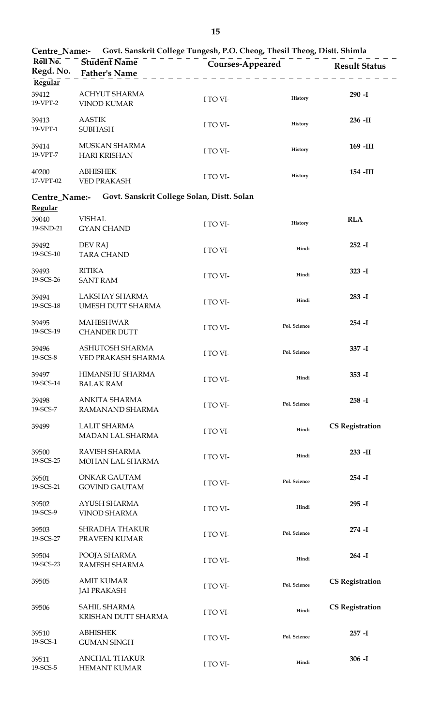| Govt. Sanskrit College Tungesh, P.O. Cheog, Thesil Theog, Distt. Shimla<br>Centre Name:- |                                             |                  |              |                        |  |
|------------------------------------------------------------------------------------------|---------------------------------------------|------------------|--------------|------------------------|--|
| Roll No.<br>Regd. No.                                                                    | <b>Student Name</b><br><b>Father's Name</b> | Courses-Appeared |              | <b>Result Status</b>   |  |
| Regular<br>39412<br>19-VPT-2                                                             | ACHYUT SHARMA<br><b>VINOD KUMAR</b>         | I TO VI-         | History      | $290 - I$              |  |
| 39413<br>19-VPT-1                                                                        | <b>AASTIK</b><br><b>SUBHASH</b>             | I TO VI-         | History      | $236$ -II              |  |
| 39414<br>19-VPT-7                                                                        | MUSKAN SHARMA<br><b>HARI KRISHAN</b>        | I TO VI-         | History      | 169 -III               |  |
| 40200<br>17-VPT-02                                                                       | <b>ABHISHEK</b><br><b>VED PRAKASH</b>       | I TO VI-         | History      | 154 -III               |  |
| Centre_Name:-                                                                            | Govt. Sanskrit College Solan, Distt. Solan  |                  |              |                        |  |
| Regular<br>39040<br>19-SND-21                                                            | <b>VISHAL</b><br><b>GYAN CHAND</b>          | I TO VI-         | History      | <b>RLA</b>             |  |
| 39492<br>19-SCS-10                                                                       | DEV RAJ<br><b>TARA CHAND</b>                | I TO VI-         | Hindi        | $252 - I$              |  |
| 39493<br>19-SCS-26                                                                       | <b>RITIKA</b><br><b>SANT RAM</b>            | I TO VI-         | Hindi        | $323 - I$              |  |
| 39494<br>19-SCS-18                                                                       | LAKSHAY SHARMA<br>UMESH DUTT SHARMA         | I TO VI-         | Hindi        | $283 - I$              |  |
| 39495<br>19-SCS-19                                                                       | <b>MAHESHWAR</b><br><b>CHANDER DUTT</b>     | I TO VI-         | Pol. Science | $254 - I$              |  |
| 39496<br>19-SCS-8                                                                        | ASHUTOSH SHARMA<br>VED PRAKASH SHARMA       | I TO VI-         | Pol. Science | 337-I                  |  |
| 39497<br>19-SCS-14                                                                       | HIMANSHU SHARMA<br><b>BALAK RAM</b>         | I TO VI-         | Hindi        | $353 - I$              |  |
| 39498<br>19-SCS-7                                                                        | ANKITA SHARMA<br>RAMANAND SHARMA            | I TO VI-         | Pol. Science | $258 - I$              |  |
| 39499                                                                                    | <b>LALIT SHARMA</b><br>MADAN LAL SHARMA     | I TO VI-         | Hindi        | <b>CS Registration</b> |  |
| 39500<br>19-SCS-25                                                                       | RAVISH SHARMA<br>MOHAN LAL SHARMA           | I TO VI-         | Hindi        | 233 - II               |  |
| 39501<br>19-SCS-21                                                                       | ONKAR GAUTAM<br><b>GOVIND GAUTAM</b>        | I TO VI-         | Pol. Science | $254 - I$              |  |
| 39502<br>19-SCS-9                                                                        | AYUSH SHARMA<br><b>VINOD SHARMA</b>         | I TO VI-         | Hindi        | $295 - I$              |  |
| 39503<br>19-SCS-27                                                                       | <b>SHRADHA THAKUR</b><br>PRAVEEN KUMAR      | I TO VI-         | Pol. Science | $274 - I$              |  |
| 39504<br>19-SCS-23                                                                       | POOJA SHARMA<br>RAMESH SHARMA               | I TO VI-         | Hindi        | $264 - I$              |  |
| 39505                                                                                    | <b>AMIT KUMAR</b><br><b>JAI PRAKASH</b>     | I TO VI-         | Pol. Science | <b>CS Registration</b> |  |
| 39506                                                                                    | SAHIL SHARMA<br>KRISHAN DUTT SHARMA         | I TO VI-         | Hindi        | <b>CS Registration</b> |  |
| 39510<br>19-SCS-1                                                                        | <b>ABHISHEK</b><br><b>GUMAN SINGH</b>       | I TO VI-         | Pol. Science | $257 - I$              |  |
| 39511<br>19-SCS-5                                                                        | <b>ANCHAL THAKUR</b><br>HEMANT KUMAR        | I TO VI-         | Hindi        | $306 - I$              |  |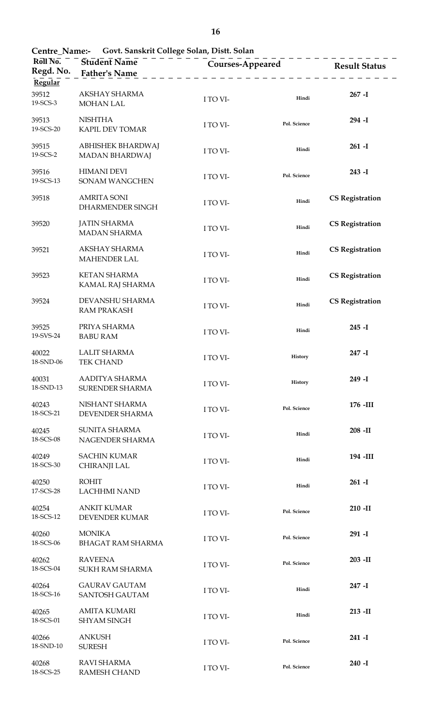| Roll No.<br>Regd. No.<br>Regular | Student Name<br><b>Father's Name</b>          | - - - - - - - -<br><b>Courses-Appeared</b><br>$\begin{array}{cccccccccccccc} \bot & \bot & \bot & \bot & \bot & \bot & \bot & \bot \end{array}$ |              | <b>Result Status</b>   |
|----------------------------------|-----------------------------------------------|-------------------------------------------------------------------------------------------------------------------------------------------------|--------------|------------------------|
| 39512<br>19-SCS-3                | AKSHAY SHARMA<br><b>MOHAN LAL</b>             | I TO VI-                                                                                                                                        | Hindi        | $267 - I$              |
| 39513<br>19-SCS-20               | <b>NISHTHA</b><br>KAPIL DEV TOMAR             | I TO VI-                                                                                                                                        | Pol. Science | 294 -I                 |
| 39515<br>19-SCS-2                | ABHISHEK BHARDWAJ<br><b>MADAN BHARDWAJ</b>    | I TO VI-                                                                                                                                        | Hindi        | $261 - I$              |
| 39516<br>19-SCS-13               | <b>HIMANI DEVI</b><br>SONAM WANGCHEN          | I TO VI-                                                                                                                                        | Pol. Science | $243 - I$              |
| 39518                            | <b>AMRITA SONI</b><br>DHARMENDER SINGH        | I TO VI-                                                                                                                                        | Hindi        | <b>CS Registration</b> |
| 39520                            | <b>JATIN SHARMA</b><br><b>MADAN SHARMA</b>    | I TO VI-                                                                                                                                        | Hindi        | <b>CS Registration</b> |
| 39521                            | AKSHAY SHARMA<br><b>MAHENDER LAL</b>          | I TO VI-                                                                                                                                        | Hindi        | <b>CS Registration</b> |
| 39523                            | <b>KETAN SHARMA</b><br>KAMAL RAJ SHARMA       | I TO VI-                                                                                                                                        | Hindi        | <b>CS Registration</b> |
| 39524                            | DEVANSHU SHARMA<br><b>RAM PRAKASH</b>         | I TO VI-                                                                                                                                        | Hindi        | <b>CS Registration</b> |
| 39525<br>19-SVS-24               | PRIYA SHARMA<br><b>BABU RAM</b>               | I TO VI-                                                                                                                                        | Hindi        | $245 - I$              |
| 40022<br>18-SND-06               | <b>LALIT SHARMA</b><br><b>TEK CHAND</b>       | I TO VI-                                                                                                                                        | History      | $247 - I$              |
| 40031<br>18-SND-13               | AADITYA SHARMA<br><b>SURENDER SHARMA</b>      | I TO VI-                                                                                                                                        | History      | $249 - I$              |
| 40243<br>18-SCS-21               | NISHANT SHARMA<br><b>DEVENDER SHARMA</b>      | I TO VI-                                                                                                                                        | Pol. Science | $176$ -III             |
| 40245<br>18-SCS-08               | <b>SUNITA SHARMA</b><br>NAGENDER SHARMA       | I TO VI-                                                                                                                                        | Hindi        | $208$ -II              |
| 40249<br>18-SCS-30               | <b>SACHIN KUMAR</b><br>CHIRANJI LAL           | I TO VI-                                                                                                                                        | Hindi        | 194 -III               |
| 40250<br>17-SCS-28               | <b>ROHIT</b><br><b>LACHHMI NAND</b>           | I TO VI-                                                                                                                                        | Hindi        | $261 - I$              |
| 40254<br>18-SCS-12               | <b>ANKIT KUMAR</b><br>DEVENDER KUMAR          | I TO VI-                                                                                                                                        | Pol. Science | $210$ -II              |
| 40260<br>18-SCS-06               | <b>MONIKA</b><br><b>BHAGAT RAM SHARMA</b>     | I TO VI-                                                                                                                                        | Pol. Science | $291 - I$              |
| 40262<br>18-SCS-04               | <b>RAVEENA</b><br><b>SUKH RAM SHARMA</b>      | I TO VI-                                                                                                                                        | Pol. Science | $203 - H$              |
| 40264<br>18-SCS-16               | <b>GAURAV GAUTAM</b><br><b>SANTOSH GAUTAM</b> | I TO VI-                                                                                                                                        | Hindi        | $247 - I$              |
| 40265<br>18-SCS-01               | <b>AMITA KUMARI</b><br><b>SHYAM SINGH</b>     | I TO VI-                                                                                                                                        | Hindi        | $213$ -II              |
| 40266<br>18-SND-10               | <b>ANKUSH</b><br><b>SURESH</b>                | I TO VI-                                                                                                                                        | Pol. Science | 241 -I                 |
| 40268<br>18-SCS-25               | <b>RAVI SHARMA</b><br><b>RAMESH CHAND</b>     | I TO VI-                                                                                                                                        | Pol. Science | $240 - I$              |

**Centre\_Name:- Govt. Sanskrit College Solan, Distt. Solan**